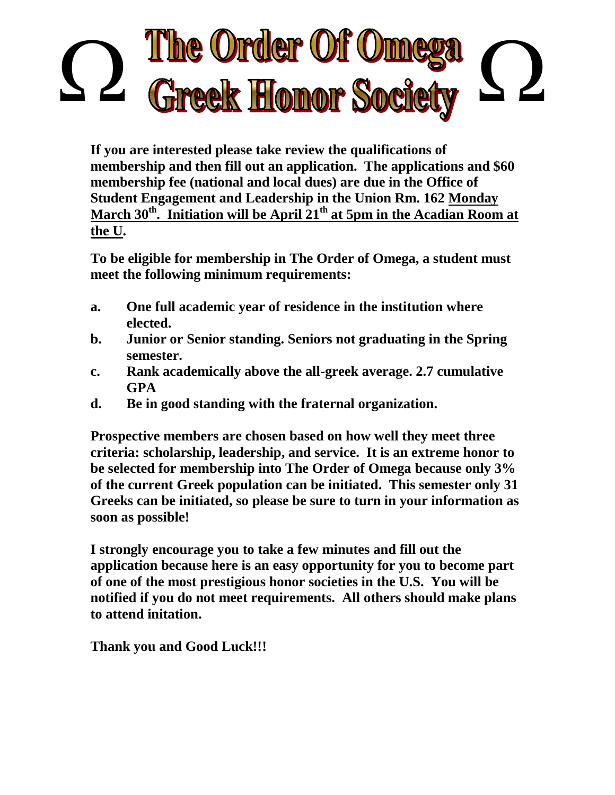## The Order Of Omeg<br>Greek Honor Societ

**If you are interested please take review the qualifications of membership and then fill out an application. The applications and \$60 membership fee (national and local dues) are due in the Office of Student Engagement and Leadership in the Union Rm. 162 Monday March 30th . Initiation will be April 21 th at 5pm in the Acadian Room at the U.**

**To be eligible for membership in The Order of Omega, a student must meet the following minimum requirements:**

- **a. One full academic year of residence in the institution where elected.**
- **b. Junior or Senior standing. Seniors not graduating in the Spring semester.**
- **c. Rank academically above the all-greek average. 2.7 cumulative GPA**
- **d. Be in good standing with the fraternal organization.**

**Prospective members are chosen based on how well they meet three criteria: scholarship, leadership, and service. It is an extreme honor to be selected for membership into The Order of Omega because only 3% of the current Greek population can be initiated. This semester only 31 Greeks can be initiated, so please be sure to turn in your information as soon as possible!**

**I strongly encourage you to take a few minutes and fill out the application because here is an easy opportunity for you to become part of one of the most prestigious honor societies in the U.S. You will be notified if you do not meet requirements. All others should make plans to attend initation.**

**Thank you and Good Luck!!!**